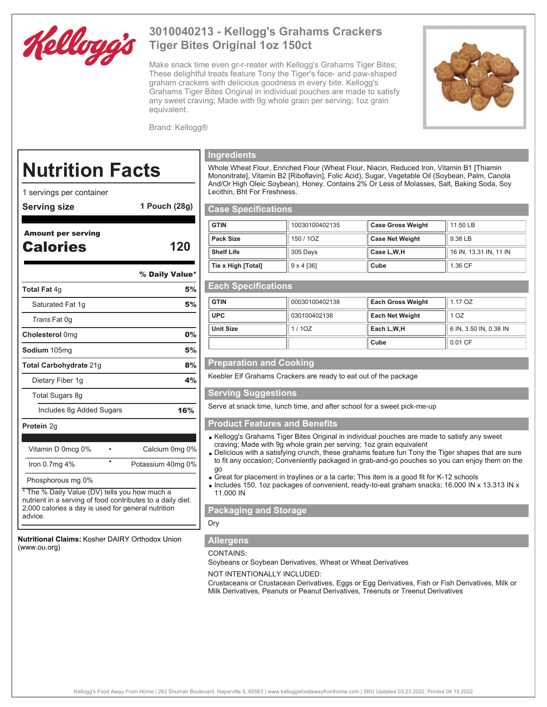

## **3010040213 - Kellogg's Grahams Crackers Tiger Bites Original 1oz 150ct**

Make snack time even gr-r-reater with Kellogg's Grahams Tiger Bites; These delightful treats feature Tony the Tiger's face- and paw-shaped graham crackers with delicious goodness in every bite. Kellogg's Grahams Tiger Bites Original in individual pouches are made to satisfy any sweet craving; Made with 9g whole grain per serving; 1oz grain equivalent.



Brand: Kellogg®

# **Nutrition Facts**

- 1 servings per container
- **Serving size 1 Pouch (28g)**

### Amount per serving Calories **120**

% Daily Value\*

| <b>Total Fat 4g</b>      |  | 5%                |
|--------------------------|--|-------------------|
| Saturated Fat 1g         |  | 5%                |
| Trans Fat 0g             |  |                   |
| Cholesterol 0mg          |  | 0%                |
| <b>Sodium</b> 105mg      |  | 5%                |
| Total Carbohydrate 21g   |  | 8%                |
| Dietary Fiber 1g         |  | 4%                |
| Total Sugars 8g          |  |                   |
| Includes 8g Added Sugars |  | 16%               |
| <b>Protein 2g</b>        |  |                   |
|                          |  |                   |
| Vitamin D 0mcg 0%        |  | Calcium 0mg 0%    |
| Iron $0.7mg$ 4%          |  | Potassium 40mg 0% |
|                          |  |                   |

Phosphorous mg 0%

\* The % Daily Value (DV) tells you how much a nutrient in a serving of food contributes to a daily diet. 2,000 calories a day is used for general nutrition advice.

**Nutritional Claims:** Kosher DAIRY Orthodox Union (www.ou.org)

#### **Ingredients**

Whole Wheat Flour, Enriched Flour (Wheat Flour, Niacin, Reduced Iron, Vitamin B1 [Thiamin Mononitrate], Vitamin B2 [Riboflavin], Folic Acid), Sugar, Vegetable Oil (Soybean, Palm, Canola And/Or High Oleic Soybean), Honey. Contains 2% Or Less of Molasses, Salt, Baking Soda, Soy Lecithin, Bht For Freshness.

#### **Case Specifications**

| <b>GTIN</b>        | 10030100402135    | <b>Case Gross Weight</b> | 11.50 LB               |
|--------------------|-------------------|--------------------------|------------------------|
| Pack Size          | 150 / 1OZ         | <b>Case Net Weight</b>   | 9.38 LB                |
| <b>Shelf Life</b>  | 305 Days          | Case L.W.H               | 16 IN, 13.31 IN, 11 IN |
| Tie x High [Total] | $9 \times 4$ [36] | Cube                     | 1.36 CF                |

#### **Each Specifications**

| <b>GTIN</b>      | 00030100402138 | <b>Each Gross Weight</b> | 1.17 OZ                |
|------------------|----------------|--------------------------|------------------------|
| <b>UPC</b>       | 030100402138   | <b>Each Net Weight</b>   | 1 OZ                   |
| <b>Unit Size</b> | 1/10Z          | Each L, W, H             | 6 IN, 3.50 IN, 0.38 IN |
|                  |                | Cube                     | 0.01 CF                |

#### **Preparation and Cooking**

Keebler Elf Grahams Crackers are ready to eat out of the package

#### **Serving Suggestions**

Serve at snack time, lunch time, and after school for a sweet pick-me-up

#### **Product Features and Benefits**

- Kellogg's Grahams Tiger Bites Original in individual pouches are made to satisfy any sweet craving; Made with 9g whole grain per serving; 1oz grain equivalent
- Delicious with a satisfying crunch, these grahams feature fun Tony the Tiger shapes that are sure to fit any occasion; Conveniently packaged in grab-and-go pouches so you can enjoy them on the go
- Great for placement in traylines or a la carte; This item is a good fit for K-12 schools
- Includes 150, 1oz packages of convenient, ready-to-eat graham snacks; 16.000 IN x 13.313 IN x 11.000 IN

#### **Packaging and Storage**

#### Dry

#### **Allergens**

#### CONTAINS:

Soybeans or Soybean Derivatives, Wheat or Wheat Derivatives

NOT INTENTIONALLY INCLUDED:

Crustaceans or Crustacean Derivatives, Eggs or Egg Derivatives, Fish or Fish Derivatives, Milk or Milk Derivatives, Peanuts or Peanut Derivatives, Treenuts or Treenut Derivatives